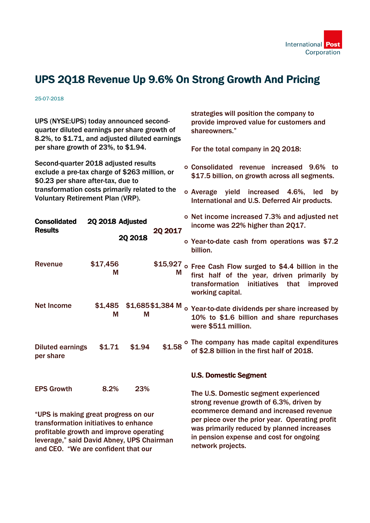

## UPS 2Q18 Revenue Up 9.6% On Strong Growth And Pricing

25-07-2018

UPS (NYSE:UPS) today announced secondquarter diluted earnings per share growth of 8.2%, to \$1.71, and adjusted diluted earnings per share growth of 23%, to \$1.94.

Second-quarter 2018 adjusted results exclude a pre-tax charge of \$263 million, or \$0.23 per share after-tax, due to transformation costs primarily related to the Voluntary Retirement Plan (VRP).

strategies will position the company to provide improved value for customers and shareowners."

For the total company in 2Q 2018:

- Consolidated revenue increased 9.6% to \$17.5 billion, on growth across all segments.
- Average yield increased 4.6%, led by International and U.S. Deferred Air products.

| <b>Consolidated</b><br><b>Results</b> | 2Q 2018 Adjusted |         | <b>2Q 2017</b>   | o Net income increased 7.3% and adjusted net<br>income was 22% higher than 2017.                                                                                              |  |  |
|---------------------------------------|------------------|---------|------------------|-------------------------------------------------------------------------------------------------------------------------------------------------------------------------------|--|--|
|                                       |                  | 20 2018 |                  | o Year-to-date cash from operations was \$7.2<br>billion.                                                                                                                     |  |  |
| Revenue                               | \$17,456<br>М    |         | M                | \$15,927 o Free Cash Flow surged to \$4.4 billion in the<br>first half of the year, driven primarily by<br>transformation initiatives<br>that<br>improved<br>working capital. |  |  |
| <b>Net Income</b>                     | \$1,485<br>M     | М       | \$1,685\$1,384 M | o Year-to-date dividends per share increased by<br>10% to \$1.6 billion and share repurchases<br>were \$511 million.                                                          |  |  |
| <b>Diluted earnings</b><br>per share  | \$1.71           | \$1.94  | \$1.58           | o The company has made capital expenditures<br>of \$2.8 billion in the first half of 2018.                                                                                    |  |  |
|                                       |                  |         |                  | <b>U.S. Domestic Segment</b>                                                                                                                                                  |  |  |
| <b>EPS Growth</b>                     | 8.2%             | 23%     |                  | — <b>IIAA</b> III III                                                                                                                                                         |  |  |

"UPS is making great progress on our transformation initiatives to enhance profitable growth and improve operating leverage," said David Abney, UPS Chairman and CEO. "We are confident that our

The U.S. Domestic segment experienced strong revenue growth of 6.3%, driven by ecommerce demand and increased revenue per piece over the prior year. Operating profit was primarily reduced by planned increases in pension expense and cost for ongoing network projects.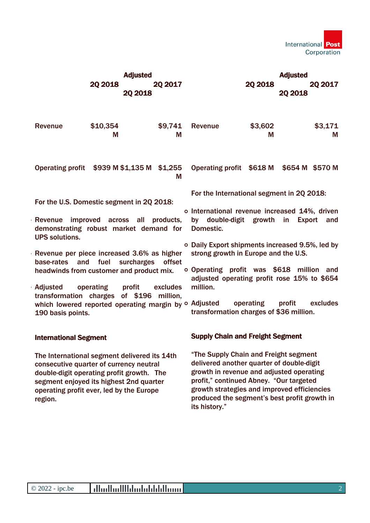

|                                                                                                                                           |                                            | <b>Adjusted</b>                                                                                                                                                                                                             |                                                                                                       | <b>Adjusted</b>                                                                                                                                                                                                                                                                           |              |                |              |  |
|-------------------------------------------------------------------------------------------------------------------------------------------|--------------------------------------------|-----------------------------------------------------------------------------------------------------------------------------------------------------------------------------------------------------------------------------|-------------------------------------------------------------------------------------------------------|-------------------------------------------------------------------------------------------------------------------------------------------------------------------------------------------------------------------------------------------------------------------------------------------|--------------|----------------|--------------|--|
|                                                                                                                                           |                                            | 20 2018                                                                                                                                                                                                                     | <b>20 2017</b>                                                                                        | 20 2018                                                                                                                                                                                                                                                                                   |              | <b>20 2017</b> |              |  |
|                                                                                                                                           |                                            | 20 2018                                                                                                                                                                                                                     |                                                                                                       |                                                                                                                                                                                                                                                                                           |              | <b>2Q 2018</b> |              |  |
|                                                                                                                                           | <b>Revenue</b>                             | \$10,354<br>Μ                                                                                                                                                                                                               | \$9,741<br>M                                                                                          | Revenue                                                                                                                                                                                                                                                                                   | \$3,602<br>M |                | \$3,171<br>M |  |
|                                                                                                                                           |                                            | Operating profit \$939 M \$1,135 M \$1,255                                                                                                                                                                                  | M                                                                                                     | Operating profit \$618 M \$654 M \$570 M                                                                                                                                                                                                                                                  |              |                |              |  |
| For the U.S. Domestic segment in 2Q 2018:                                                                                                 |                                            |                                                                                                                                                                                                                             |                                                                                                       | For the International segment in 2Q 2018:                                                                                                                                                                                                                                                 |              |                |              |  |
| improved across all products,<br><b>Revenue</b><br>demonstrating robust market demand for Domestic.<br><b>UPS solutions.</b>              |                                            |                                                                                                                                                                                                                             | o International revenue increased 14%, driven<br>by double-digit growth<br>in<br><b>Export</b><br>and |                                                                                                                                                                                                                                                                                           |              |                |              |  |
|                                                                                                                                           | Revenue per piece increased 3.6% as higher |                                                                                                                                                                                                                             |                                                                                                       | ○ Daily Export shipments increased 9.5%, led by<br>strong growth in Europe and the U.S.                                                                                                                                                                                                   |              |                |              |  |
| and<br>fuel surcharges<br>base-rates<br>offset<br>headwinds from customer and product mix.<br>Adjusted<br>operating<br>profit<br>excludes |                                            |                                                                                                                                                                                                                             | o Operating profit was \$618 million and<br>adjusted operating profit rose 15% to \$654<br>million.   |                                                                                                                                                                                                                                                                                           |              |                |              |  |
|                                                                                                                                           |                                            | transformation charges of \$196 million,                                                                                                                                                                                    |                                                                                                       |                                                                                                                                                                                                                                                                                           |              |                |              |  |
|                                                                                                                                           | 190 basis points.                          | which lowered reported operating margin by o Adjusted                                                                                                                                                                       |                                                                                                       | transformation charges of \$36 million.                                                                                                                                                                                                                                                   | operating    | profit         | excludes     |  |
|                                                                                                                                           | <b>International Segment</b>               |                                                                                                                                                                                                                             |                                                                                                       | <b>Supply Chain and Freight Segment</b>                                                                                                                                                                                                                                                   |              |                |              |  |
|                                                                                                                                           | region.                                    | The International segment delivered its 14th<br>consecutive quarter of currency neutral<br>double-digit operating profit growth. The<br>segment enjoyed its highest 2nd quarter<br>operating profit ever, led by the Europe |                                                                                                       | "The Supply Chain and Freight segment<br>delivered another quarter of double-digit<br>growth in revenue and adjusted operating<br>profit," continued Abney. "Our targeted<br>growth strategies and improved efficiencies<br>produced the segment's best profit growth in<br>its history." |              |                |              |  |